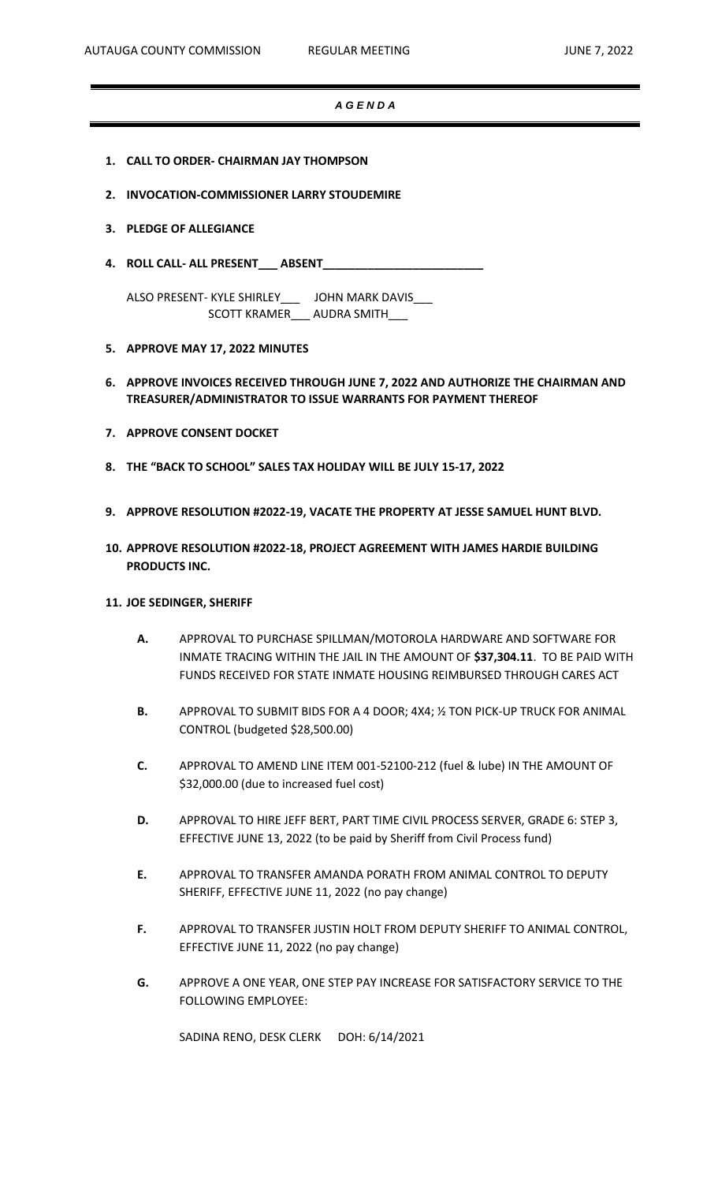#### *A G E N D A*

- **1. CALL TO ORDER- CHAIRMAN JAY THOMPSON**
- **2. INVOCATION-COMMISSIONER LARRY STOUDEMIRE**
- **3. PLEDGE OF ALLEGIANCE**
- **4. ROLL CALL- ALL PRESENT\_\_\_ ABSENT\_\_\_\_\_\_\_\_\_\_\_\_\_\_\_\_\_\_\_\_\_\_\_\_\_**

ALSO PRESENT- KYLE SHIRLEY\_\_\_ JOHN MARK DAVIS\_\_\_ SCOTT KRAMER\_\_\_ AUDRA SMITH\_\_\_

- **5. APPROVE MAY 17, 2022 MINUTES**
- **6. APPROVE INVOICES RECEIVED THROUGH JUNE 7, 2022 AND AUTHORIZE THE CHAIRMAN AND TREASURER/ADMINISTRATOR TO ISSUE WARRANTS FOR PAYMENT THEREOF**
- **7. APPROVE CONSENT DOCKET**
- **8. THE "BACK TO SCHOOL" SALES TAX HOLIDAY WILL BE JULY 15-17, 2022**
- **9. APPROVE RESOLUTION #2022-19, VACATE THE PROPERTY AT JESSE SAMUEL HUNT BLVD.**
- **10. APPROVE RESOLUTION #2022-18, PROJECT AGREEMENT WITH JAMES HARDIE BUILDING PRODUCTS INC.**
- **11. JOE SEDINGER, SHERIFF**
	- **A.** APPROVAL TO PURCHASE SPILLMAN/MOTOROLA HARDWARE AND SOFTWARE FOR INMATE TRACING WITHIN THE JAIL IN THE AMOUNT OF **\$37,304.11**. TO BE PAID WITH FUNDS RECEIVED FOR STATE INMATE HOUSING REIMBURSED THROUGH CARES ACT
	- **B.** APPROVAL TO SUBMIT BIDS FOR A 4 DOOR; 4X4; ½ TON PICK-UP TRUCK FOR ANIMAL CONTROL (budgeted \$28,500.00)
	- **C.** APPROVAL TO AMEND LINE ITEM 001-52100-212 (fuel & lube) IN THE AMOUNT OF \$32,000.00 (due to increased fuel cost)
	- **D.** APPROVAL TO HIRE JEFF BERT, PART TIME CIVIL PROCESS SERVER, GRADE 6: STEP 3, EFFECTIVE JUNE 13, 2022 (to be paid by Sheriff from Civil Process fund)
	- **E.** APPROVAL TO TRANSFER AMANDA PORATH FROM ANIMAL CONTROL TO DEPUTY SHERIFF, EFFECTIVE JUNE 11, 2022 (no pay change)
	- **F.** APPROVAL TO TRANSFER JUSTIN HOLT FROM DEPUTY SHERIFF TO ANIMAL CONTROL, EFFECTIVE JUNE 11, 2022 (no pay change)
	- **G.** APPROVE A ONE YEAR, ONE STEP PAY INCREASE FOR SATISFACTORY SERVICE TO THE FOLLOWING EMPLOYEE:

SADINA RENO, DESK CLERK DOH: 6/14/2021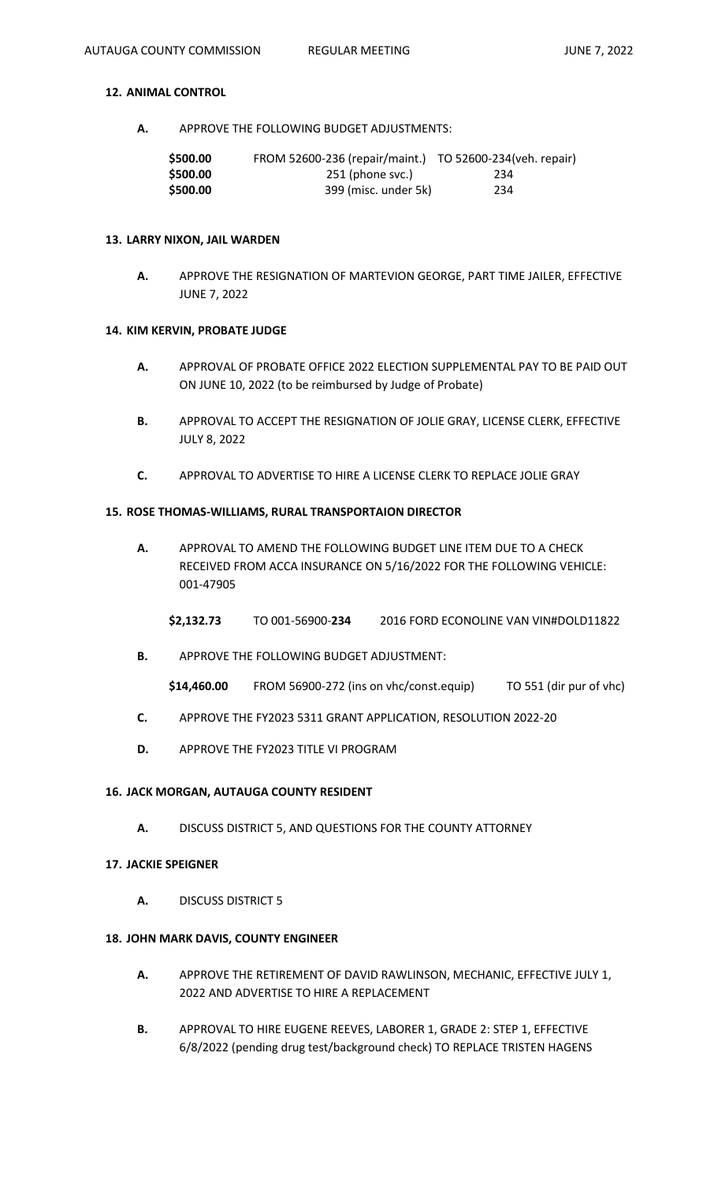# **12. ANIMAL CONTROL**

**A.** APPROVE THE FOLLOWING BUDGET ADJUSTMENTS:

| \$500.00 | FROM 52600-236 (repair/maint.) TO 52600-234 (veh. repair) |     |
|----------|-----------------------------------------------------------|-----|
| \$500.00 | 251 (phone svc.)                                          | 234 |
| \$500.00 | 399 (misc. under 5k)                                      | 234 |

### **13. LARRY NIXON, JAIL WARDEN**

**A.** APPROVE THE RESIGNATION OF MARTEVION GEORGE, PART TIME JAILER, EFFECTIVE JUNE 7, 2022

## **14. KIM KERVIN, PROBATE JUDGE**

- **A.** APPROVAL OF PROBATE OFFICE 2022 ELECTION SUPPLEMENTAL PAY TO BE PAID OUT ON JUNE 10, 2022 (to be reimbursed by Judge of Probate)
- **B.** APPROVAL TO ACCEPT THE RESIGNATION OF JOLIE GRAY, LICENSE CLERK, EFFECTIVE JULY 8, 2022
- **C.** APPROVAL TO ADVERTISE TO HIRE A LICENSE CLERK TO REPLACE JOLIE GRAY

## **15. ROSE THOMAS-WILLIAMS, RURAL TRANSPORTAION DIRECTOR**

**A.** APPROVAL TO AMEND THE FOLLOWING BUDGET LINE ITEM DUE TO A CHECK RECEIVED FROM ACCA INSURANCE ON 5/16/2022 FOR THE FOLLOWING VEHICLE: 001-47905

**\$2,132.73** TO 001-56900-**234** 2016 FORD ECONOLINE VAN VIN#DOLD11822

- **B.** APPROVE THE FOLLOWING BUDGET ADJUSTMENT:
	- **\$14,460.00** FROM 56900-272 (ins on vhc/const.equip) TO 551 (dir pur of vhc)
- **C.** APPROVE THE FY2023 5311 GRANT APPLICATION, RESOLUTION 2022-20
- **D.** APPROVE THE FY2023 TITLE VI PROGRAM

### **16. JACK MORGAN, AUTAUGA COUNTY RESIDENT**

**A.** DISCUSS DISTRICT 5, AND QUESTIONS FOR THE COUNTY ATTORNEY

# **17. JACKIE SPEIGNER**

**A.** DISCUSS DISTRICT 5

# **18. JOHN MARK DAVIS, COUNTY ENGINEER**

- **A.** APPROVE THE RETIREMENT OF DAVID RAWLINSON, MECHANIC, EFFECTIVE JULY 1, 2022 AND ADVERTISE TO HIRE A REPLACEMENT
- **B.** APPROVAL TO HIRE EUGENE REEVES, LABORER 1, GRADE 2: STEP 1, EFFECTIVE 6/8/2022 (pending drug test/background check) TO REPLACE TRISTEN HAGENS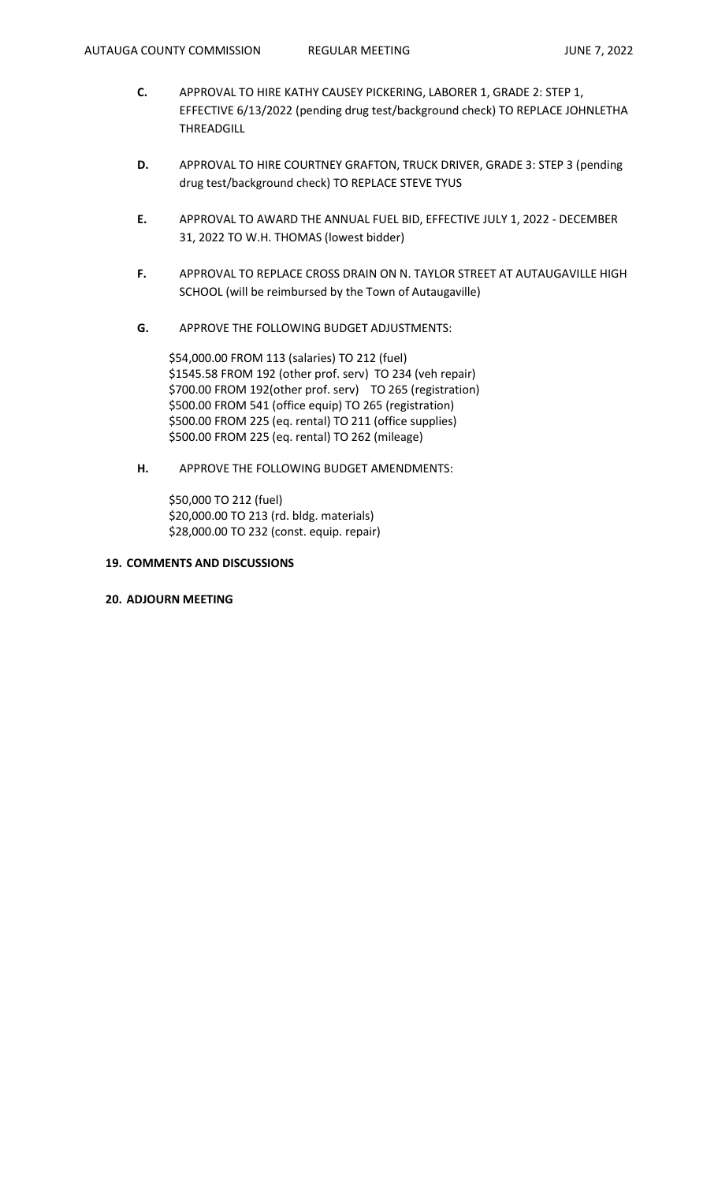- **C.** APPROVAL TO HIRE KATHY CAUSEY PICKERING, LABORER 1, GRADE 2: STEP 1, EFFECTIVE 6/13/2022 (pending drug test/background check) TO REPLACE JOHNLETHA THREADGILL
- **D.** APPROVAL TO HIRE COURTNEY GRAFTON, TRUCK DRIVER, GRADE 3: STEP 3 (pending drug test/background check) TO REPLACE STEVE TYUS
- **E.** APPROVAL TO AWARD THE ANNUAL FUEL BID, EFFECTIVE JULY 1, 2022 DECEMBER 31, 2022 TO W.H. THOMAS (lowest bidder)
- **F.** APPROVAL TO REPLACE CROSS DRAIN ON N. TAYLOR STREET AT AUTAUGAVILLE HIGH SCHOOL (will be reimbursed by the Town of Autaugaville)
- **G.** APPROVE THE FOLLOWING BUDGET ADJUSTMENTS:

\$54,000.00 FROM 113 (salaries) TO 212 (fuel) \$1545.58 FROM 192 (other prof. serv) TO 234 (veh repair) \$700.00 FROM 192(other prof. serv) TO 265 (registration) \$500.00 FROM 541 (office equip) TO 265 (registration) \$500.00 FROM 225 (eq. rental) TO 211 (office supplies) \$500.00 FROM 225 (eq. rental) TO 262 (mileage)

**H.** APPROVE THE FOLLOWING BUDGET AMENDMENTS:

 \$50,000 TO 212 (fuel) \$20,000.00 TO 213 (rd. bldg. materials) \$28,000.00 TO 232 (const. equip. repair)

### **19. COMMENTS AND DISCUSSIONS**

### **20. ADJOURN MEETING**